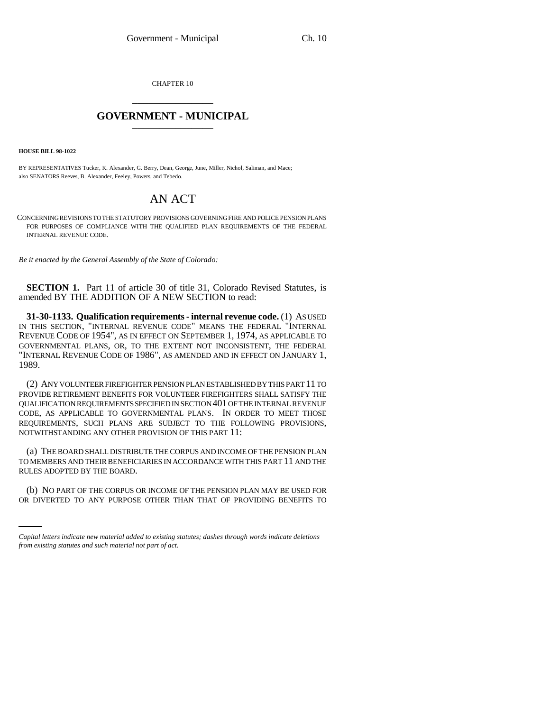CHAPTER 10 \_\_\_\_\_\_\_\_\_\_\_\_\_\_\_

## **GOVERNMENT - MUNICIPAL** \_\_\_\_\_\_\_\_\_\_\_\_\_\_\_

**HOUSE BILL 98-1022**

BY REPRESENTATIVES Tucker, K. Alexander, G. Berry, Dean, George, June, Miller, Nichol, Saliman, and Mace; also SENATORS Reeves, B. Alexander, Feeley, Powers, and Tebedo.

## AN ACT

CONCERNING REVISIONS TO THE STATUTORY PROVISIONS GOVERNING FIRE AND POLICE PENSION PLANS FOR PURPOSES OF COMPLIANCE WITH THE QUALIFIED PLAN REQUIREMENTS OF THE FEDERAL INTERNAL REVENUE CODE.

*Be it enacted by the General Assembly of the State of Colorado:*

**SECTION 1.** Part 11 of article 30 of title 31, Colorado Revised Statutes, is amended BY THE ADDITION OF A NEW SECTION to read:

**31-30-1133. Qualification requirements - internal revenue code.** (1) AS USED IN THIS SECTION, "INTERNAL REVENUE CODE" MEANS THE FEDERAL "INTERNAL REVENUE CODE OF 1954", AS IN EFFECT ON SEPTEMBER 1, 1974, AS APPLICABLE TO GOVERNMENTAL PLANS, OR, TO THE EXTENT NOT INCONSISTENT, THE FEDERAL "INTERNAL REVENUE CODE OF 1986", AS AMENDED AND IN EFFECT ON JANUARY 1, 1989.

(2) ANY VOLUNTEER FIREFIGHTER PENSION PLAN ESTABLISHED BY THIS PART 11 TO PROVIDE RETIREMENT BENEFITS FOR VOLUNTEER FIREFIGHTERS SHALL SATISFY THE QUALIFICATION REQUIREMENTS SPECIFIED IN SECTION 401 OF THE INTERNAL REVENUE CODE, AS APPLICABLE TO GOVERNMENTAL PLANS. IN ORDER TO MEET THOSE REQUIREMENTS, SUCH PLANS ARE SUBJECT TO THE FOLLOWING PROVISIONS, NOTWITHSTANDING ANY OTHER PROVISION OF THIS PART 11:

(a) THE BOARD SHALL DISTRIBUTE THE CORPUS AND INCOME OF THE PENSION PLAN TO MEMBERS AND THEIR BENEFICIARIES IN ACCORDANCE WITH THIS PART 11 AND THE RULES ADOPTED BY THE BOARD.

(b) NO PART OF THE CORPUS OR INCOME OF THE PENSION PLAN MAY BE USED FOR OR DIVERTED TO ANY PURPOSE OTHER THAN THAT OF PROVIDING BENEFITS TO

*Capital letters indicate new material added to existing statutes; dashes through words indicate deletions from existing statutes and such material not part of act.*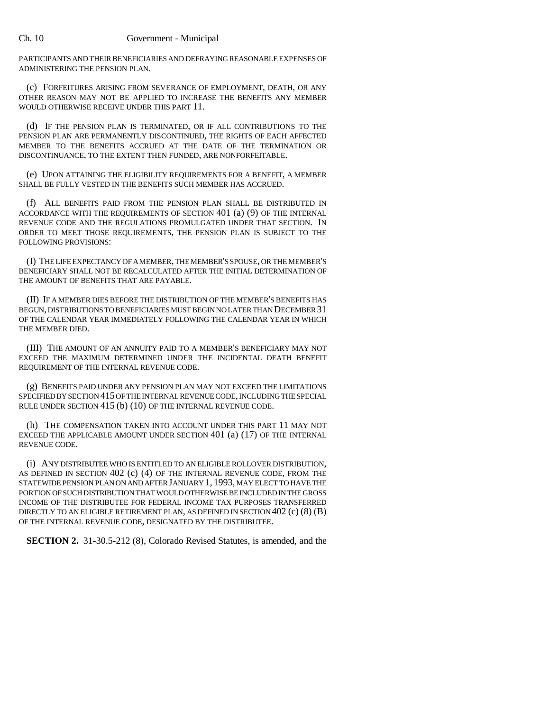PARTICIPANTS AND THEIR BENEFICIARIES AND DEFRAYING REASONABLE EXPENSES OF ADMINISTERING THE PENSION PLAN.

(c) FORFEITURES ARISING FROM SEVERANCE OF EMPLOYMENT, DEATH, OR ANY OTHER REASON MAY NOT BE APPLIED TO INCREASE THE BENEFITS ANY MEMBER WOULD OTHERWISE RECEIVE UNDER THIS PART 11.

(d) IF THE PENSION PLAN IS TERMINATED, OR IF ALL CONTRIBUTIONS TO THE PENSION PLAN ARE PERMANENTLY DISCONTINUED, THE RIGHTS OF EACH AFFECTED MEMBER TO THE BENEFITS ACCRUED AT THE DATE OF THE TERMINATION OR DISCONTINUANCE, TO THE EXTENT THEN FUNDED, ARE NONFORFEITABLE.

(e) UPON ATTAINING THE ELIGIBILITY REQUIREMENTS FOR A BENEFIT, A MEMBER SHALL BE FULLY VESTED IN THE BENEFITS SUCH MEMBER HAS ACCRUED.

(f) ALL BENEFITS PAID FROM THE PENSION PLAN SHALL BE DISTRIBUTED IN ACCORDANCE WITH THE REQUIREMENTS OF SECTION 401 (a) (9) OF THE INTERNAL REVENUE CODE AND THE REGULATIONS PROMULGATED UNDER THAT SECTION. IN ORDER TO MEET THOSE REQUIREMENTS, THE PENSION PLAN IS SUBJECT TO THE FOLLOWING PROVISIONS:

(I) THE LIFE EXPECTANCY OF A MEMBER, THE MEMBER'S SPOUSE, OR THE MEMBER'S BENEFICIARY SHALL NOT BE RECALCULATED AFTER THE INITIAL DETERMINATION OF THE AMOUNT OF BENEFITS THAT ARE PAYABLE.

(II) IF A MEMBER DIES BEFORE THE DISTRIBUTION OF THE MEMBER'S BENEFITS HAS BEGUN, DISTRIBUTIONS TO BENEFICIARIES MUST BEGIN NO LATER THAN DECEMBER 31 OF THE CALENDAR YEAR IMMEDIATELY FOLLOWING THE CALENDAR YEAR IN WHICH THE MEMBER DIED.

(III) THE AMOUNT OF AN ANNUITY PAID TO A MEMBER'S BENEFICIARY MAY NOT EXCEED THE MAXIMUM DETERMINED UNDER THE INCIDENTAL DEATH BENEFIT REQUIREMENT OF THE INTERNAL REVENUE CODE.

(g) BENEFITS PAID UNDER ANY PENSION PLAN MAY NOT EXCEED THE LIMITATIONS SPECIFIED BY SECTION 415 OF THE INTERNAL REVENUE CODE, INCLUDING THE SPECIAL RULE UNDER SECTION 415 (b) (10) OF THE INTERNAL REVENUE CODE.

(h) THE COMPENSATION TAKEN INTO ACCOUNT UNDER THIS PART 11 MAY NOT EXCEED THE APPLICABLE AMOUNT UNDER SECTION 401 (a) (17) OF THE INTERNAL REVENUE CODE.

(i) ANY DISTRIBUTEE WHO IS ENTITLED TO AN ELIGIBLE ROLLOVER DISTRIBUTION, AS DEFINED IN SECTION 402 (c) (4) OF THE INTERNAL REVENUE CODE, FROM THE STATEWIDE PENSION PLAN ON AND AFTER JANUARY 1, 1993, MAY ELECT TO HAVE THE PORTION OF SUCH DISTRIBUTION THAT WOULD OTHERWISE BE INCLUDED IN THE GROSS INCOME OF THE DISTRIBUTEE FOR FEDERAL INCOME TAX PURPOSES TRANSFERRED DIRECTLY TO AN ELIGIBLE RETIREMENT PLAN, AS DEFINED IN SECTION  $402$  (c) (8) (B) OF THE INTERNAL REVENUE CODE, DESIGNATED BY THE DISTRIBUTEE.

**SECTION 2.** 31-30.5-212 (8), Colorado Revised Statutes, is amended, and the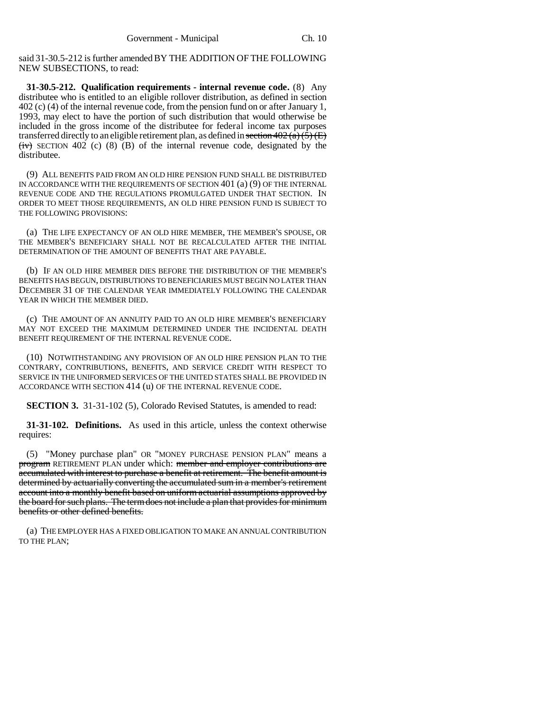said 31-30.5-212 is further amended BY THE ADDITION OF THE FOLLOWING NEW SUBSECTIONS, to read:

**31-30.5-212. Qualification requirements - internal revenue code.** (8) Any distributee who is entitled to an eligible rollover distribution, as defined in section 402 (c) (4) of the internal revenue code, from the pension fund on or after January 1, 1993, may elect to have the portion of such distribution that would otherwise be included in the gross income of the distributee for federal income tax purposes transferred directly to an eligible retirement plan, as defined in section  $402(a)(5)$  (E)  $(iv)$  SECTION 402 (c) (8) (B) of the internal revenue code, designated by the distributee.

(9) ALL BENEFITS PAID FROM AN OLD HIRE PENSION FUND SHALL BE DISTRIBUTED IN ACCORDANCE WITH THE REQUIREMENTS OF SECTION 401 (a) (9) OF THE INTERNAL REVENUE CODE AND THE REGULATIONS PROMULGATED UNDER THAT SECTION. IN ORDER TO MEET THOSE REQUIREMENTS, AN OLD HIRE PENSION FUND IS SUBJECT TO THE FOLLOWING PROVISIONS:

(a) THE LIFE EXPECTANCY OF AN OLD HIRE MEMBER, THE MEMBER'S SPOUSE, OR THE MEMBER'S BENEFICIARY SHALL NOT BE RECALCULATED AFTER THE INITIAL DETERMINATION OF THE AMOUNT OF BENEFITS THAT ARE PAYABLE.

(b) IF AN OLD HIRE MEMBER DIES BEFORE THE DISTRIBUTION OF THE MEMBER'S BENEFITS HAS BEGUN, DISTRIBUTIONS TO BENEFICIARIES MUST BEGIN NO LATER THAN DECEMBER 31 OF THE CALENDAR YEAR IMMEDIATELY FOLLOWING THE CALENDAR YEAR IN WHICH THE MEMBER DIED.

(c) THE AMOUNT OF AN ANNUITY PAID TO AN OLD HIRE MEMBER'S BENEFICIARY MAY NOT EXCEED THE MAXIMUM DETERMINED UNDER THE INCIDENTAL DEATH BENEFIT REQUIREMENT OF THE INTERNAL REVENUE CODE.

(10) NOTWITHSTANDING ANY PROVISION OF AN OLD HIRE PENSION PLAN TO THE CONTRARY, CONTRIBUTIONS, BENEFITS, AND SERVICE CREDIT WITH RESPECT TO SERVICE IN THE UNIFORMED SERVICES OF THE UNITED STATES SHALL BE PROVIDED IN ACCORDANCE WITH SECTION 414 (u) OF THE INTERNAL REVENUE CODE.

**SECTION 3.** 31-31-102 (5), Colorado Revised Statutes, is amended to read:

**31-31-102. Definitions.** As used in this article, unless the context otherwise requires:

(5) "Money purchase plan" OR "MONEY PURCHASE PENSION PLAN" means a program RETIREMENT PLAN under which: member and employer contributions are accumulated with interest to purchase a benefit at retirement. The benefit amount is determined by actuarially converting the accumulated sum in a member's retirement account into a monthly benefit based on uniform actuarial assumptions approved by the board for such plans. The term does not include a plan that provides for minimum benefits or other defined benefits.

(a) THE EMPLOYER HAS A FIXED OBLIGATION TO MAKE AN ANNUAL CONTRIBUTION TO THE PLAN;